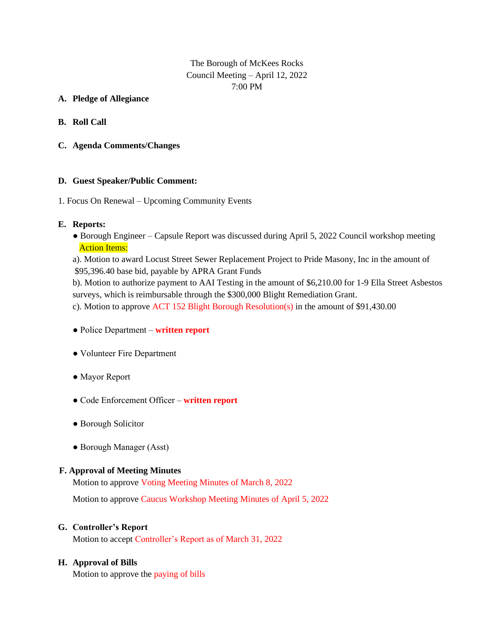### The Borough of McKees Rocks Council Meeting – April 12, 2022 7:00 PM

### **A. Pledge of Allegiance**

- **B. Roll Call**
- **C. Agenda Comments/Changes**

### **D. Guest Speaker/Public Comment:**

1. Focus On Renewal – Upcoming Community Events

### **E. Reports:**

• Borough Engineer – Capsule Report was discussed during April 5, 2022 Council workshop meeting **Action Items:** 

a). Motion to award Locust Street Sewer Replacement Project to Pride Masony, Inc in the amount of \$95,396.40 base bid, payable by APRA Grant Funds

b). Motion to authorize payment to AAI Testing in the amount of \$6,210.00 for 1-9 Ella Street Asbestos surveys, which is reimbursable through the \$300,000 Blight Remediation Grant.

c). Motion to approve ACT 152 Blight Borough Resolution(s) in the amount of \$91,430.00

- Police Department **written report**
- Volunteer Fire Department
- Mayor Report
- Code Enforcement Officer **written report**
- Borough Solicitor
- Borough Manager (Asst)

### **F. Approval of Meeting Minutes**

Motion to approve Voting Meeting Minutes of March 8, 2022

Motion to approve Caucus Workshop Meeting Minutes of April 5, 2022

### **G. Controller's Report**

Motion to accept Controller's Report as of March 31, 2022

### **H. Approval of Bills**

Motion to approve the paying of bills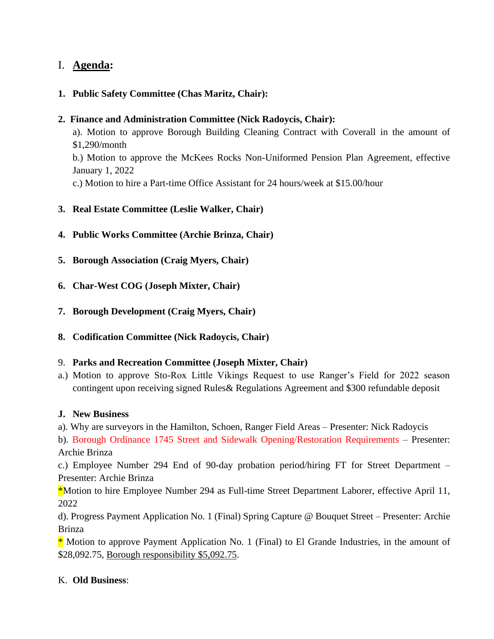# I. **Agenda:**

## **1. Public Safety Committee (Chas Maritz, Chair):**

## **2. Finance and Administration Committee (Nick Radoycis, Chair):**

a). Motion to approve Borough Building Cleaning Contract with Coverall in the amount of \$1,290/month

b.) Motion to approve the McKees Rocks Non-Uniformed Pension Plan Agreement, effective January 1, 2022

c.) Motion to hire a Part-time Office Assistant for 24 hours/week at \$15.00/hour

- **3. Real Estate Committee (Leslie Walker, Chair)**
- **4. Public Works Committee (Archie Brinza, Chair)**
- **5. Borough Association (Craig Myers, Chair)**
- **6. Char-West COG (Joseph Mixter, Chair)**
- **7. Borough Development (Craig Myers, Chair)**
- **8. Codification Committee (Nick Radoycis, Chair)**

## 9. **Parks and Recreation Committee (Joseph Mixter, Chair)**

a.) Motion to approve Sto-Rox Little Vikings Request to use Ranger's Field for 2022 season contingent upon receiving signed Rules& Regulations Agreement and \$300 refundable deposit

## **J. New Business**

a). Why are surveyors in the Hamilton, Schoen, Ranger Field Areas – Presenter: Nick Radoycis

b). Borough Ordinance 1745 Street and Sidewalk Opening/Restoration Requirements – Presenter: Archie Brinza

c.) Employee Number 294 End of 90-day probation period/hiring FT for Street Department – Presenter: Archie Brinza

\*Motion to hire Employee Number 294 as Full-time Street Department Laborer, effective April 11, 2022

d). Progress Payment Application No. 1 (Final) Spring Capture @ Bouquet Street – Presenter: Archie Brinza

\* Motion to approve Payment Application No. 1 (Final) to El Grande Industries, in the amount of \$28,092.75, Borough responsibility \$5,092.75.

# K. **Old Business**: